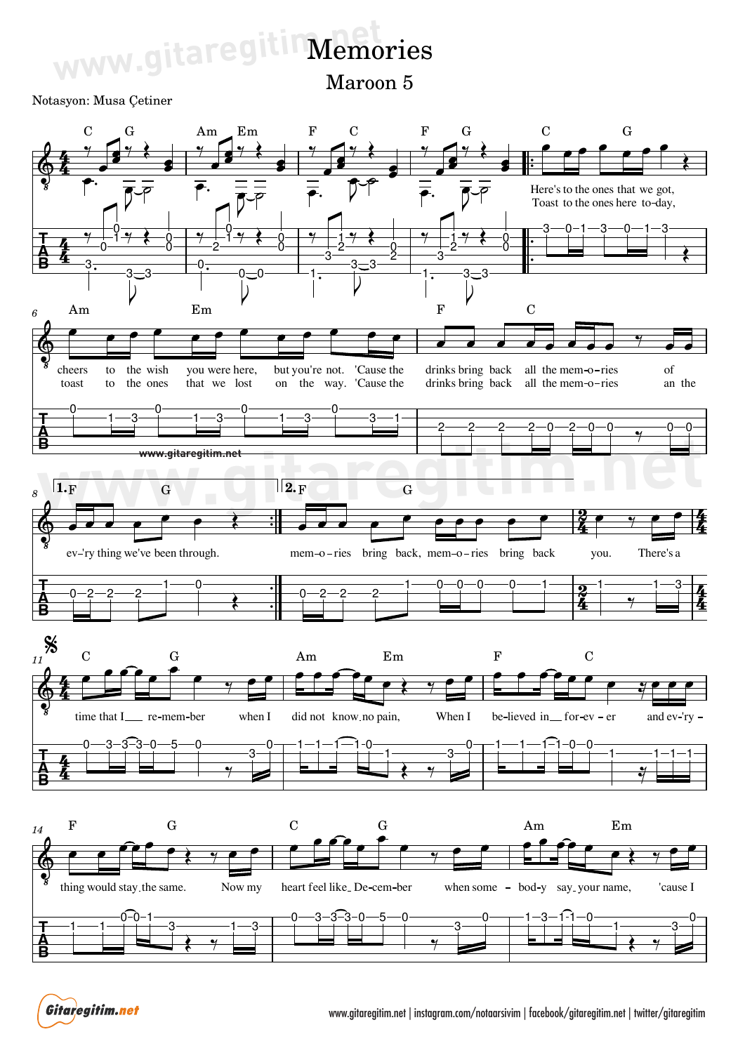## www.gitaregitim.nemo Memories

Maroon 5

## Notasyon: Musa Çetiner



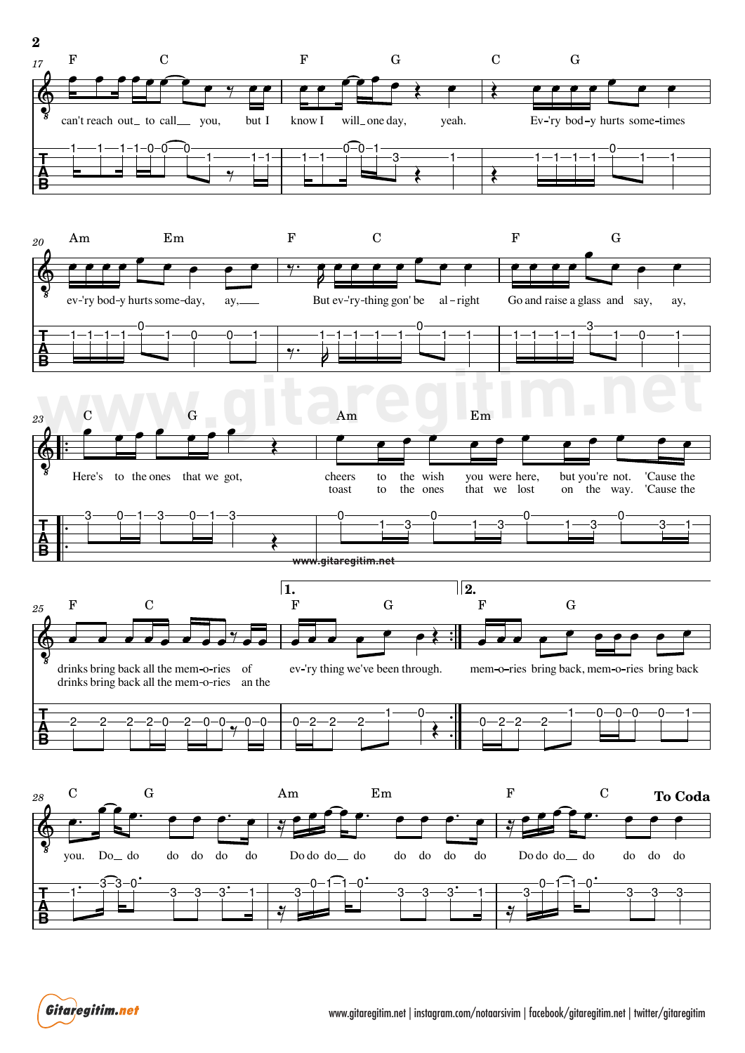